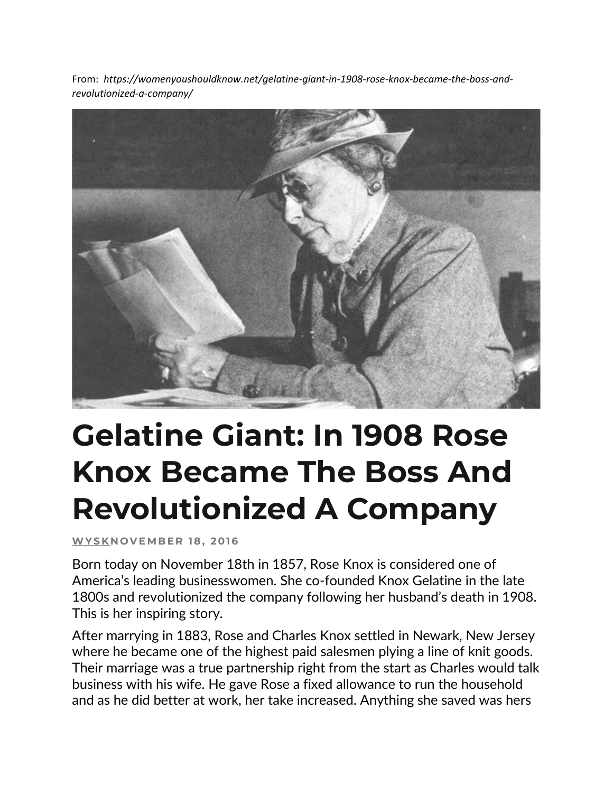From: *https://womenyoushouldknow.net/gelatine-giant-in-1908-rose-knox-became-the-boss-andrevolutionized-a-company/*



## **Gelatine Giant: In 1908 Rose Knox Became The Boss And Revolutionized A Company**

**[W Y S K](https://womenyoushouldknow.net/author/wysk/) N O V E MB E R 1 8 , 2 01 6**

Born today on November 18th in 1857, Rose Knox is considered one of America's leading businesswomen. She co-founded Knox Gelatine in the late 1800s and revolutionized the company following her husband's death in 1908. This is her inspiring story.

After marrying in 1883, Rose and Charles Knox settled in Newark, New Jersey where he became one of the highest paid salesmen plying a line of knit goods. Their marriage was a true partnership right from the start as Charles would talk business with his wife. He gave Rose a fixed allowance to run the household and as he did better at work, her take increased. Anything she saved was hers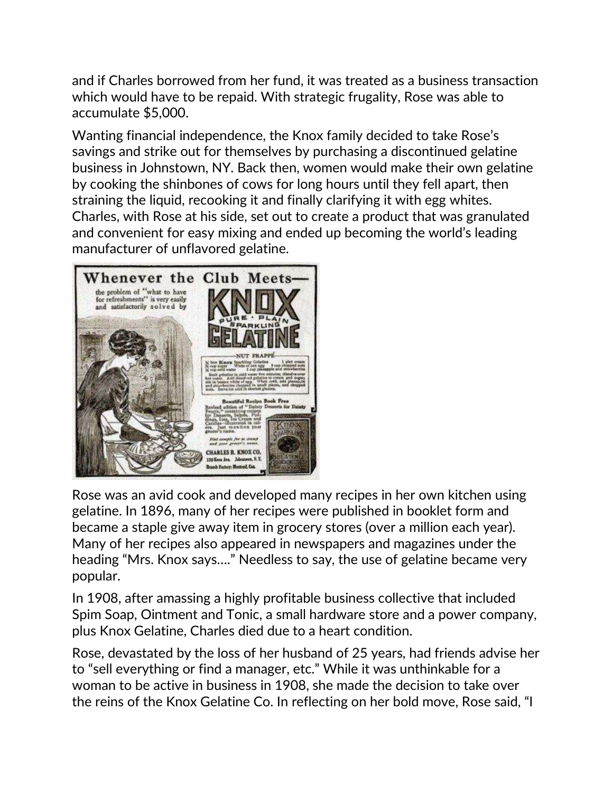and if Charles borrowed from her fund, it was treated as a business transaction which would have to be repaid. With strategic frugality, Rose was able to accumulate \$5,000.

Wanting financial independence, the Knox family decided to take Rose's savings and strike out for themselves by purchasing a discontinued gelatine business in Johnstown, NY. Back then, women would make their own gelatine by cooking the shinbones of cows for long hours until they fell apart, then straining the liquid, recooking it and finally clarifying it with egg whites. Charles, with Rose at his side, set out to create a product that was granulated and convenient for easy mixing and ended up becoming the world's leading manufacturer of unflavored gelatine.



Rose was an avid cook and developed many recipes in her own kitchen using gelatine. In 1896, many of her recipes were published in booklet form and became a staple give away item in grocery stores (over a million each year). Many of her recipes also appeared in newspapers and magazines under the heading "Mrs. Knox says…." Needless to say, the use of gelatine became very popular.

In 1908, after amassing a highly profitable business collective that included Spim Soap, Ointment and Tonic, a small hardware store and a power company, plus Knox Gelatine, Charles died due to a heart condition.

Rose, devastated by the loss of her husband of 25 years, had friends advise her to "sell everything or find a manager, etc." While it was unthinkable for a woman to be active in business in 1908, she made the decision to take over the reins of the Knox Gelatine Co. In reflecting on her bold move, Rose said, "I